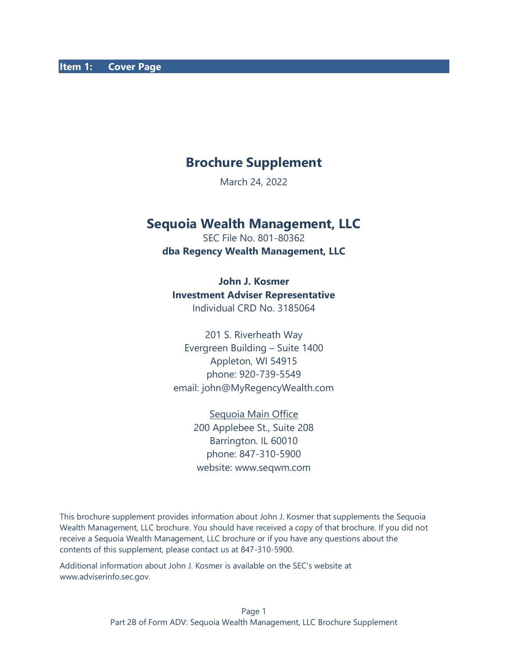# **Brochure Supplement**

March 24, 2022

## **Sequoia Wealth Management, LLC**

SEC File No. 801-80362 **dba Regency Wealth Management, LLC**

**John J. Kosmer**

#### **Investment Adviser Representative**

Individual CRD No. 3185064

201 S. Riverheath Way Evergreen Building – Suite 1400 Appleton, WI 54915 phone: 920-739-5549 email: john@MyRegencyWealth.com

> Sequoia Main Office 200 Applebee St., Suite 208 Barrington. IL 60010 phone: 847-310-5900 website: www.seqwm.com

This brochure supplement provides information about John J. Kosmer that supplements the Sequoia Wealth Management, LLC brochure. You should have received a copy of that brochure. If you did not receive a Sequoia Wealth Management, LLC brochure or if you have any questions about the contents of this supplement, please contact us at 847-310-5900.

Additional information about John J. Kosmer is available on the SEC's website at [www.adviserinfo.sec.gov.](about:blank)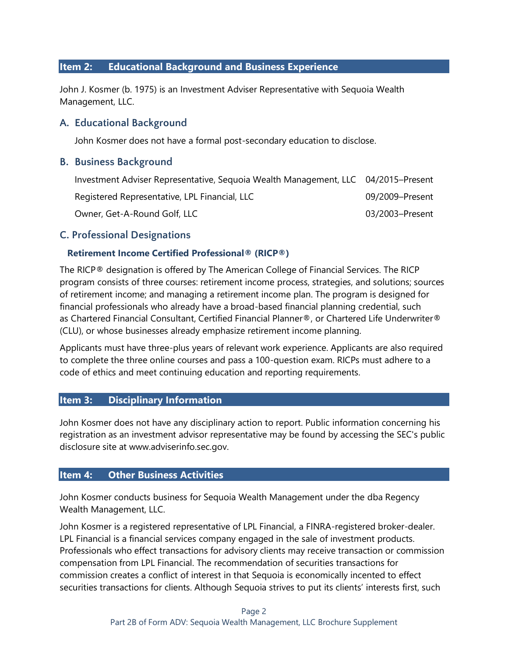#### **Item 2: Educational Background and Business Experience**

John J. Kosmer (b. 1975) is an Investment Adviser Representative with Sequoia Wealth Management, LLC.

#### **A. Educational Background**

John Kosmer does not have a formal post-secondary education to disclose.

#### **B. Business Background**

| Investment Adviser Representative, Sequoia Wealth Management, LLC 04/2015–Present |                 |
|-----------------------------------------------------------------------------------|-----------------|
| Registered Representative, LPL Financial, LLC                                     | 09/2009–Present |
| Owner, Get-A-Round Golf, LLC                                                      | 03/2003-Present |

#### **C. Professional Designations**

#### **Retirement Income Certified Professional® (RICP®)**

The RICP® designation is offered by The American College of Financial Services. The RICP program consists of three courses: retirement income process, strategies, and solutions; sources of retirement income; and managing a retirement income plan. The program is designed for financial professionals who already have a broad-based financial planning credential, such as Chartered Financial Consultant, Certified Financial Planner®, or Chartered Life Underwriter® (CLU), or whose businesses already emphasize retirement income planning.

Applicants must have three-plus years of relevant work experience. Applicants are also required to complete the three online courses and pass a 100-question exam. RICPs must adhere to a code of ethics and meet continuing education and reporting requirements.

#### **Item 3: Disciplinary Information**

John Kosmer does not have any disciplinary action to report. Public information concerning his registration as an investment advisor representative may be found by accessing the SEC's public disclosure site at www.adviserinfo.sec.gov.

#### **Item 4: Other Business Activities**

John Kosmer conducts business for Sequoia Wealth Management under the dba Regency Wealth Management, LLC.

John Kosmer is a registered representative of LPL Financial, a FINRA-registered broker-dealer. LPL Financial is a financial services company engaged in the sale of investment products. Professionals who effect transactions for advisory clients may receive transaction or commission compensation from LPL Financial. The recommendation of securities transactions for commission creates a conflict of interest in that Sequoia is economically incented to effect securities transactions for clients. Although Sequoia strives to put its clients' interests first, such